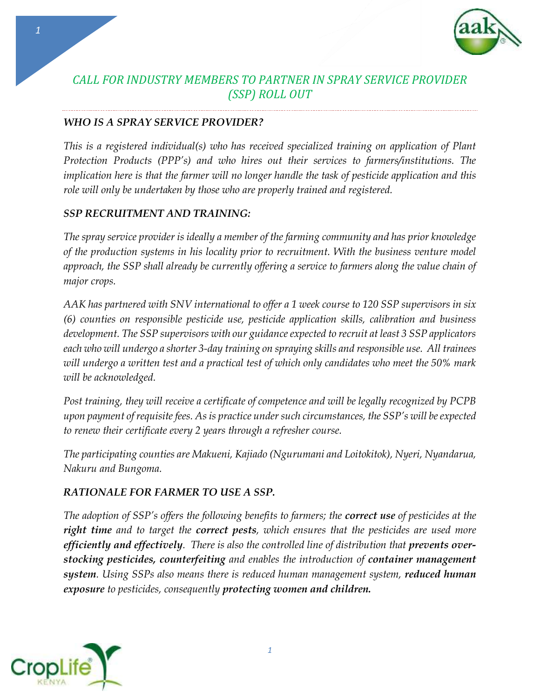

# *CALL FOR INDUSTRY MEMBERS TO PARTNER IN SPRAY SERVICE PROVIDER (SSP) ROLL OUT*

#### *WHO IS A SPRAY SERVICE PROVIDER?*

*This is a registered individual(s) who has received specialized training on application of Plant Protection Products (PPP's) and who hires out their services to farmers/institutions. The implication here is that the farmer will no longer handle the task of pesticide application and this role will only be undertaken by those who are properly trained and registered.* 

#### *SSP RECRUITMENT AND TRAINING:*

*The spray service provider is ideally a member of the farming community and has prior knowledge of the production systems in his locality prior to recruitment. With the business venture model approach, the SSP shall already be currently offering a service to farmers along the value chain of major crops.* 

*AAK has partnered with SNV international to offer a 1 week course to 120 SSP supervisors in six (6) counties on responsible pesticide use, pesticide application skills, calibration and business development. The SSP supervisors with our guidance expected to recruit at least 3 SSP applicators each who will undergo a shorter 3-day training on spraying skills and responsible use. All trainees will undergo a written test and a practical test of which only candidates who meet the 50% mark will be acknowledged.*

*Post training, they will receive a certificate of competence and will be legally recognized by PCPB upon payment of requisite fees. As is practice under such circumstances, the SSP's will be expected to renew their certificate every 2 years through a refresher course.*

*The participating counties are Makueni, Kajiado (Ngurumani and Loitokitok), Nyeri, Nyandarua, Nakuru and Bungoma.* 

### *RATIONALE FOR FARMER TO USE A SSP.*

*The adoption of SSP's offers the following benefits to farmers; the correct use of pesticides at the right time and to target the correct pests, which ensures that the pesticides are used more efficiently and effectively. There is also the controlled line of distribution that prevents overstocking pesticides, counterfeiting and enables the introduction of container management system. Using SSPs also means there is reduced human management system, reduced human exposure to pesticides, consequently protecting women and children.*



*1*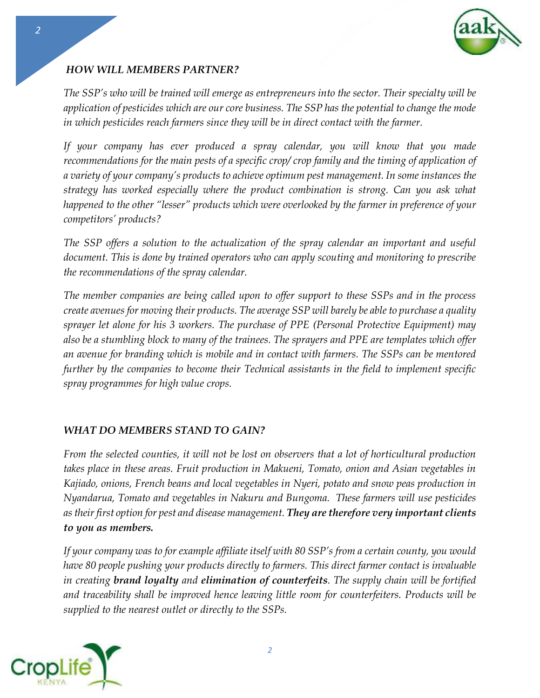

## *HOW WILL MEMBERS PARTNER?*

*The SSP's who will be trained will emerge as entrepreneurs into the sector. Their specialty will be application of pesticides which are our core business. The SSP has the potential to change the mode in which pesticides reach farmers since they will be in direct contact with the farmer.*

*If your company has ever produced a spray calendar, you will know that you made recommendations for the main pests of a specific crop/ crop family and the timing of application of a variety of your company's products to achieve optimum pest management. In some instances the strategy has worked especially where the product combination is strong. Can you ask what happened to the other "lesser" products which were overlooked by the farmer in preference of your competitors' products?* 

*The SSP offers a solution to the actualization of the spray calendar an important and useful document. This is done by trained operators who can apply scouting and monitoring to prescribe the recommendations of the spray calendar.* 

*The member companies are being called upon to offer support to these SSPs and in the process create avenues for moving their products. The average SSP will barely be able to purchase a quality sprayer let alone for his 3 workers. The purchase of PPE (Personal Protective Equipment) may also be a stumbling block to many of the trainees. The sprayers and PPE are templates which offer an avenue for branding which is mobile and in contact with farmers. The SSPs can be mentored further by the companies to become their Technical assistants in the field to implement specific spray programmes for high value crops.* 

### *WHAT DO MEMBERS STAND TO GAIN?*

*From the selected counties, it will not be lost on observers that a lot of horticultural production takes place in these areas. Fruit production in Makueni, Tomato, onion and Asian vegetables in Kajiado, onions, French beans and local vegetables in Nyeri, potato and snow peas production in Nyandarua, Tomato and vegetables in Nakuru and Bungoma. These farmers will use pesticides as their first option for pest and disease management. They are therefore very important clients to you as members.*

*If your company was to for example affiliate itself with 80 SSP's from a certain county, you would have 80 people pushing your products directly to farmers. This direct farmer contact is invaluable in creating brand loyalty and elimination of counterfeits. The supply chain will be fortified and traceability shall be improved hence leaving little room for counterfeiters. Products will be supplied to the nearest outlet or directly to the SSPs.* 



*2*